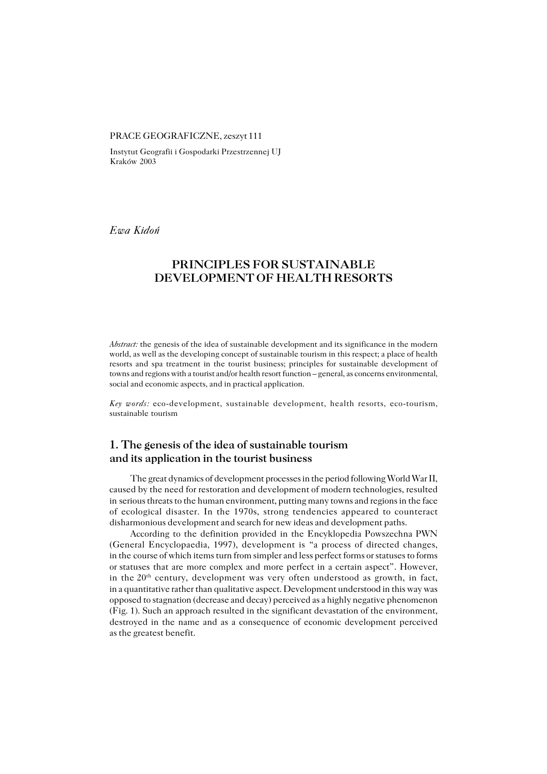#### PRACE GEOGRAFICZNE, zeszyt 111

Instytut Geografii i Gospodarki Przestrzennej UJ Kraków 2003

*Ewa Kidoń*

# **PRINCIPLES FOR SUSTAINABLE DEVELOPMENT OF HEALTH RESORTS**

*Abstract:* the genesis of the idea of sustainable development and its significance in the modern world, as well as the developing concept of sustainable tourism in this respect; a place of health resorts and spa treatment in the tourist business; principles for sustainable development of towns and regions with a tourist and/or health resort function – general, as concerns environmental, social and economic aspects, and in practical application.

*Key words:* eco−development, sustainable development, health resorts, eco−tourism, sustainable tourism

# **1. The genesis of the idea of sustainable tourism and its application in the tourist business**

The great dynamics of development processes in the period following World War II, caused by the need for restoration and development of modern technologies, resulted in serious threats to the human environment, putting many towns and regions in the face of ecological disaster. In the 1970s, strong tendencies appeared to counteract disharmonious development and search for new ideas and development paths.

According to the definition provided in the Encyklopedia Powszechna PWN (General Encyclopaedia, 1997), development is "a process of directed changes, in the course of which items turn from simpler and less perfect forms or statuses to forms or statuses that are more complex and more perfect in a certain aspect". However, in the  $20<sup>th</sup>$  century, development was very often understood as growth, in fact, in a quantitative rather than qualitative aspect. Development understood in this way was opposed to stagnation (decrease and decay) perceived as a highly negative phenomenon (Fig. 1). Such an approach resulted in the significant devastation of the environment, destroyed in the name and as a consequence of economic development perceived as the greatest benefit.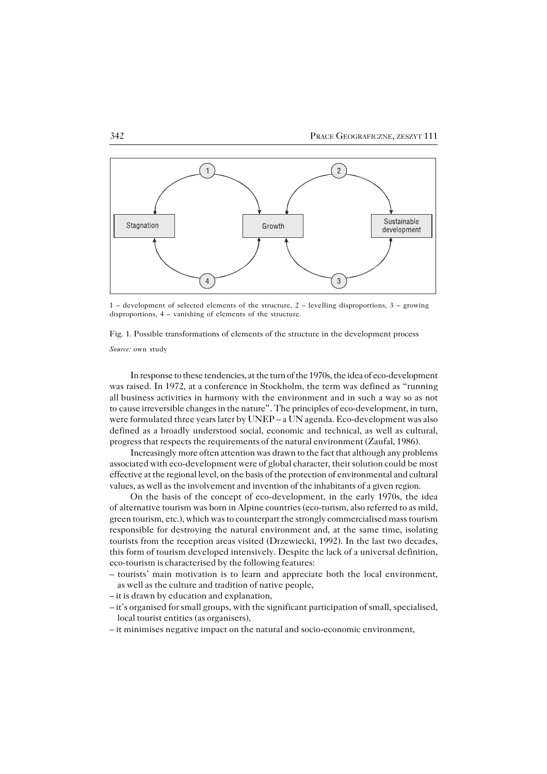

1 – development of selected elements of the structure, 2 – levelling disproportions, 3 – growing disproportions, 4 – vanishing of elements of the structure.

Fig. 1. Possible transformations of elements of the structure in the development process

*Source:* own study

In response to these tendencies, at the turn of the 1970s, the idea of eco−development was raised. In 1972, at a conference in Stockholm, the term was defined as "running allbusiness activities in harmony with the environment and in such a way so as not to cause irreversible changes in the nature". The principles of eco-development, in turn, were formulated three years later by UNEP – a UN agenda. Eco−development was also defined as a broadly understood social, economic and technical, as well as cultural, progress that respects the requirements of the natural environment (Zaufal, 1986).

Increasingly more often attention was drawn to the fact that although any problems associated with eco−development were of global character, their solution could be most effective at the regional level, on the basis of the protection of environmental and cultural values, as well as the involvement and invention of the inhabitants of a given region.

On the basis of the concept of eco−development, in the early 1970s, the idea ofalternative tourism was born in Alpine countries (eco−turism, also referred to as mild, green tourism, etc.), which was to counterpart the strongly commercialised mass tourism responsible for destroying the natural environment and, at the same time, isolating tourists from the reception areas visited (Drzewiecki, 1992). In the last two decades, thisform of tourism developed intensively. Despite the lack of a universal definition, eco−tourism is characterised by the following features:

- tourists' main motivation is to learn and appreciate both the local environment, as well as the culture and tradition of native people,
- it is drawn by education and explanation,
- it's organised for small groups, with the significant participation of small, specialised, local tourist entities (as organisers),
- it minimises negative impact on the natural and socio−economic environment,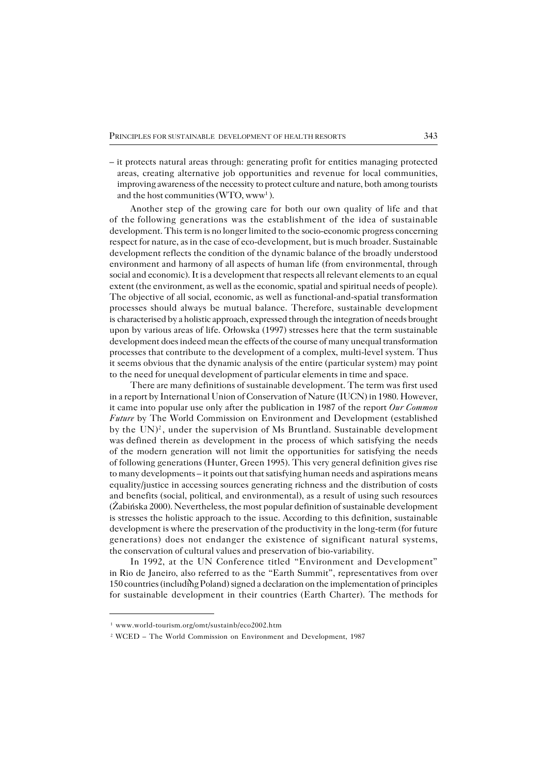– it protects natural areas through: generating profit for entities managing protected areas, creating alternative job opportunities and revenue for local communities, improving awareness of the necessity to protect culture and nature, both among tourists and the host communities (WTO,  $www<sup>1</sup>$ ).

Another step of the growing care for both our own quality of life and that of thefollowing generations was the establishment of the idea of sustainable development. This term is no longer limited to the socio−economic progress concerning respect for nature, as in the case of eco−development, but is much broader. Sustainable development reflects the condition of the dynamic balance of the broadly understood environment and harmony of all aspects of human life (from environmental, through social and economic). It is a development that respects all relevant elements to an equal extent (the environment, as well as the economic, spatial and spiritual needs of people). The objective of all social, economic, as well as functional−and−spatial transformation processes should always be mutual balance. Therefore, sustainable development is characterised by a holistic approach, expressed through the integration of needs brought upon by various areas of life. Orłowska (1997) stresses here that the term sustainable development does indeed mean the effects of the course of many unequal transformation processes that contribute to the development of a complex, multi−level system. Thus it seems obvious that the dynamic analysis of the entire (particular system) may point to the need for unequal development of particular elements in time and space.

There are many definitions of sustainable development. The term was first used in a report by International Union of Conservation of Nature (IUCN) in 1980. However, it came into popular use only after the publication in 1987 of the report *Our Common Future* by The World Commission on Environment and Development (established by the UN)<sup>2</sup>, under the supervision of Ms Bruntland. Sustainable development was defined therein as development in the process of which satisfying the needs of the modern generation will not limit the opportunities for satisfying the needs of following generations (Hunter, Green 1995). This very general definition gives rise to many developments – it points out that satisfying human needs and aspirations means equality/justice in accessing sources generating richness and the distribution of costs and benefits (social, political, and environmental), as a result of using such resources (Żabińska 2000). Nevertheless, the most popular definition of sustainable development is stresses the holistic approach to the issue. According to this definition, sustainable development is where the preservation of the productivity in the long−term (for future generations) does not endanger the existence of significant natural systems, the conservation of cultural values and preservation of bio−variability.

In 1992, at the UN Conference titled "Environment and Development" inRio de Janeiro, also referred to as the "Earth Summit", representatives from over 150 countries (including Poland) signed a declaration on the implementation of principles for sustainable development in their countries (Earth Charter). The methods for

<sup>1</sup> www.world−tourism.org/omt/sustainb/eco2002.htm

<sup>2</sup> WCED – The World Commission on Environment and Development, 1987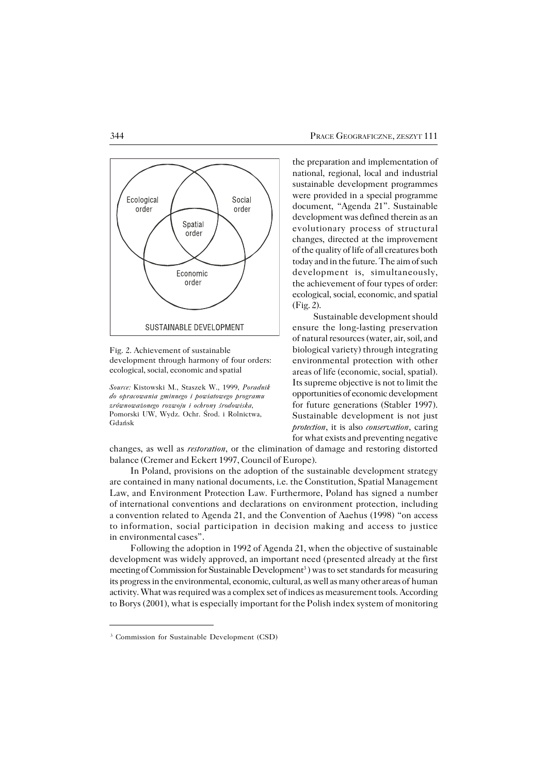

Fig. 2. Achievement of sustainable development through harmony of four orders: ecological, social, economic and spatial

*Source:* Kistowski M., Staszek W., 1999, *Poradnik do opracowania gminnego i powiatowego programu zrównoważonego rozwoju i ochrony środowiska*, Pomorski UW, Wydz. Ochr. Środ. i Rolnictwa, Gdańsk

the preparation and implementation of national, regional, local and industrial sustainable development programmes were provided in a special programme document, "Agenda 21". Sustainable development was defined therein as an evolutionary process of structural changes, directed at the improvement of the quality of life of all creatures both today and in the future. The aim of such development is, simultaneously, the achievement of four types of order: ecological, social, economic, and spatial (Fig. 2).

Sustainable development should ensure the long−lasting preservation of natural resources (water, air, soil, and biological variety) through integrating environmental protection with other areas of life (economic, social, spatial). Its supreme objective is not to limit the opportunities of economic development for future generations (Stabler 1997). Sustainable development is not just *protection*, it is also *conservation*, caring forwhat exists and preventing negative

changes, as well as *restoration*, or the elimination of damage and restoring distorted balance (Cremer and Eckert 1997, Council of Europe).

In Poland, provisions on the adoption of the sustainable development strategy are contained in many national documents, i.e. the Constitution, Spatial Management Law, and Environment Protection Law. Furthermore, Poland has signed a number of international conventions and declarations on environment protection, including aconvention related to Agenda 21, and the Convention of Aaehus (1998) "on access toinformation, social participation in decision making and access to justice in environmental cases".

Following the adoption in 1992 of Agenda 21, when the objective of sustainable development was widely approved, an important need (presented already at the first meeting of Commission for Sustainable Development<sup>3</sup>) was to set standards for measuring its progress in the environmental, economic, cultural, as well as many other areas of human activity. What was required was a complex set of indices as measurement tools. According to Borys (2001), what is especially important for the Polish index system of monitoring

<sup>3</sup> Commission for Sustainable Development (CSD)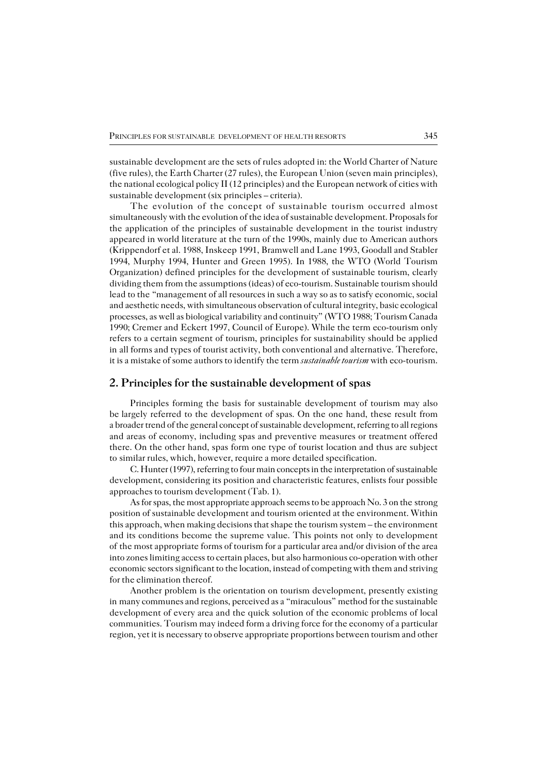sustainable development are the sets of rules adopted in: the World Charter of Nature (five rules), the Earth Charter (27 rules), the European Union (seven main principles), the national ecological policy II (12 principles) and the European network of cities with sustainable development (six principles – criteria).

The evolution of the concept of sustainable tourism occurred almost simultaneously with the evolution of the idea of sustainable development. Proposals for the application of the principles of sustainable development in the tourist industry appeared in world literature at the turn of the 1990s, mainly due to American authors (Krippendorf et al. 1988, Inskeep 1991, Bramwell and Lane 1993, Goodall and Stabler 1994, Murphy 1994, Hunter and Green 1995). In 1988, the WTO (World Tourism Organization) defined principles for the development of sustainable tourism, clearly dividing them from the assumptions (ideas) of eco−tourism. Sustainable tourism should lead to the "management of all resources in such a way so as to satisfy economic, social and aesthetic needs, with simultaneous observation of cultural integrity, basic ecological processes, as well as biological variability and continuity" (WTO 1988; Tourism Canada 1990; Cremer and Eckert 1997, Council of Europe). While the term eco−tourism only refers to a certain segment of tourism, principles for sustainability should be applied inall forms and types of tourist activity, both conventional and alternative. Therefore, it is a mistake of some authors to identify the term *sustainable tourism* with eco−tourism.

## **2. Principles for the sustainable development of spas**

Principles forming the basis for sustainable development of tourism may also belargely referred to the development of spas. On the one hand, these result from a broader trend of the general concept of sustainable development, referring to all regions and areas of economy, including spas and preventive measures or treatment offered there. On the other hand, spas form one type of tourist location and thus are subject to similar rules, which, however, require a more detailed specification.

C. Hunter (1997), referring to four main concepts in the interpretation of sustainable development, considering its position and characteristic features, enlists four possible approaches to tourism development (Tab. 1).

As for spas, the most appropriate approach seems to be approach  $No. 3$  on the strong position of sustainable development and tourism oriented at the environment. Within this approach, when making decisions that shape the tourism system – the environment and its conditions become the supreme value. This points not only to development ofthe most appropriate forms of tourism for a particular area and/or division of the area into zones limiting access to certain places, but also harmonious co−operation with other economic sectors significant to the location, instead of competing with them and striving for the elimination thereof.

Another problem is the orientation on tourism development, presently existing inmany communes and regions, perceived as a "miraculous" method for the sustainable development of every area and the quick solution of the economic problems of local communities. Tourism may indeed form a driving force for the economy of a particular region, yet it is necessary to observe appropriate proportions between tourism and other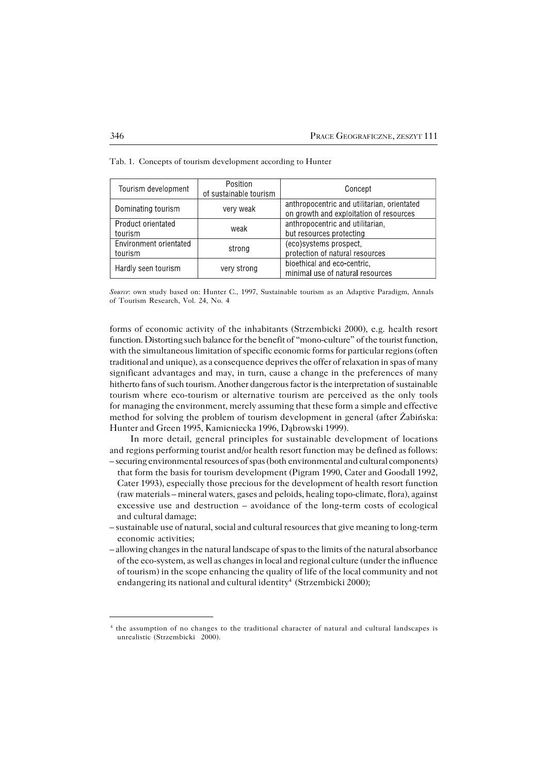| Tourism development               | Position<br>of sustainable tourism | Concept                                                                                |  |
|-----------------------------------|------------------------------------|----------------------------------------------------------------------------------------|--|
| Dominating tourism                | very weak                          | anthropocentric and utilitarian, orientated<br>on growth and exploitation of resources |  |
| Product orientated<br>tourism     | weak                               | anthropocentric and utilitarian,<br>but resources protecting                           |  |
| Environment orientated<br>tourism | strong                             | (eco)systems prospect,<br>protection of natural resources                              |  |
| Hardly seen tourism               | very strong                        | bioethical and eco-centric,<br>minimal use of natural resources                        |  |

Tab. 1. Concepts of tourism development according to Hunter

*Source*: own study based on: Hunter C., 1997, Sustainable tourism as an Adaptive Paradigm, Annals of Tourism Research, Vol. 24, No. 4

forms of economic activity of the inhabitants (Strzembicki 2000), e.g. health resort function. Distorting such balance for the benefit of "mono−culture" of the tourist function, with the simultaneous limitation of specific economic forms for particular regions (often traditional and unique), as a consequence deprives the offer of relaxation in spas of many significant advantages and may, in turn, cause a change in the preferences of many hitherto fans of such tourism. Another dangerous factor is the interpretation of sustainable tourism where eco−tourism or alternative tourism are perceived as the only tools for managing the environment, merely assuming that these form a simple and effective method for solving the problem of tourism development in general (after Żabińska: Hunter and Green 1995, Kamieniecka 1996, Dąbrowski 1999).

In more detail, general principles for sustainable development of locations and regions performing tourist and/or health resort function may be defined as follows: – securing environmental resources of spas (both environmental and cultural components)

- that form the basis for tourism development (Pigram 1990, Cater and Goodall 1992, Cater 1993), especially those precious for the development of health resort function (raw materials – mineral waters, gases and peloids, healing topo−climate, flora), against excessive use and destruction – avoidance of the long−term costs of ecological and cultural damage;
- sustainable use of natural, social and cultural resources that give meaning to long−term economic activities;
- allowing changes in the natural landscape of spas to the limits of the natural absorbance of the eco−system, as well as changes in local and regional culture (under the influence of tourism) in the scope enhancing the quality of life of the local community and not endangering its national and cultural identity<sup>4</sup> (Strzembicki 2000);

<sup>4</sup> the assumption of no changes to the traditional character of natural and cultural landscapes is unrealistic (Strzembicki 2000).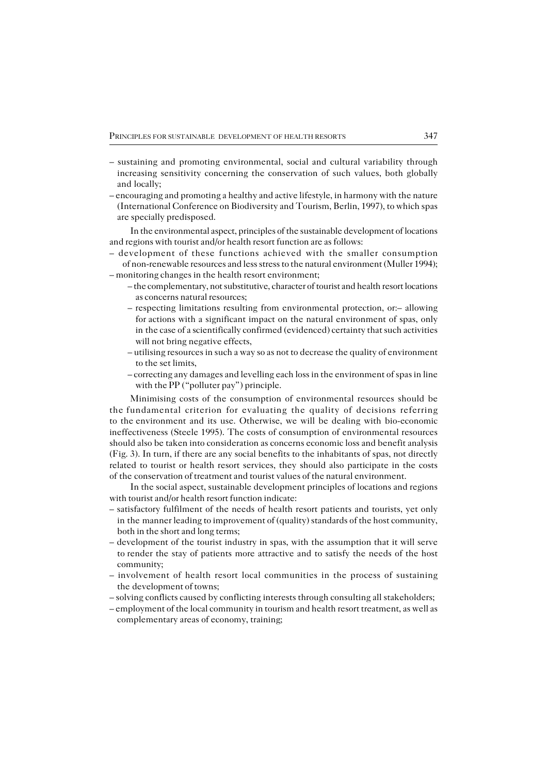- sustaining and promoting environmental, social and cultural variability through increasing sensitivity concerning the conservation of such values, both globally and locally;
- encouraging and promoting a healthy and active lifestyle, in harmony with the nature (International Conference on Biodiversity and Tourism, Berlin, 1997), to which spas are specially predisposed.

In the environmental aspect, principles of the sustainable development of locations and regions with tourist and/or health resort function are as follows:

– development of these functions achieved with the smaller consumption of non−renewable resources and less stress to the natural environment (Muller 1994);

– monitoring changes in the health resort environment;

- the complementary, not substitutive, character of tourist and health resort locations as concerns natural resources;
- respecting limitations resulting from environmental protection, or:– allowing for actions with a significant impact on the natural environment of spas, only in the case of a scientifically confirmed (evidenced) certainty that such activities will not bring negative effects,
- utilising resources in such a way so as not to decrease the quality of environment to the set limits,
- correcting any damages and levelling each loss in the environment of spas in line with the PP ("polluter pay") principle.

Minimising costs of the consumption of environmental resources should be the fundamental criterion for evaluating the quality of decisions referring to the environment and its use. Otherwise, we will be dealing with bio-economic ineffectiveness (Steele 1995). The costs of consumption of environmental resources should also be taken into consideration as concerns economic loss and benefit analysis (Fig. 3). In turn, if there are any social benefits to the inhabitants of spas, not directly related to tourist or health resort services, they should also participate in the costs of the conservation of treatment and tourist values of the natural environment.

In the social aspect, sustainable development principles of locations and regions with tourist and/or health resort function indicate:

- satisfactory fulfilment of the needs of health resort patients and tourists, yet only in the manner leading to improvement of (quality) standards of the host community, both in the short and long terms;
- development of the tourist industry in spas, with the assumption that it will serve to render the stay of patients more attractive and to satisfy the needs of the host community;
- involvement of health resort local communities in the process of sustaining the development of towns;
- solving conflicts caused by conflicting interests through consulting all stakeholders;
- employment of the local community in tourism and health resort treatment, as well as complementary areas of economy, training;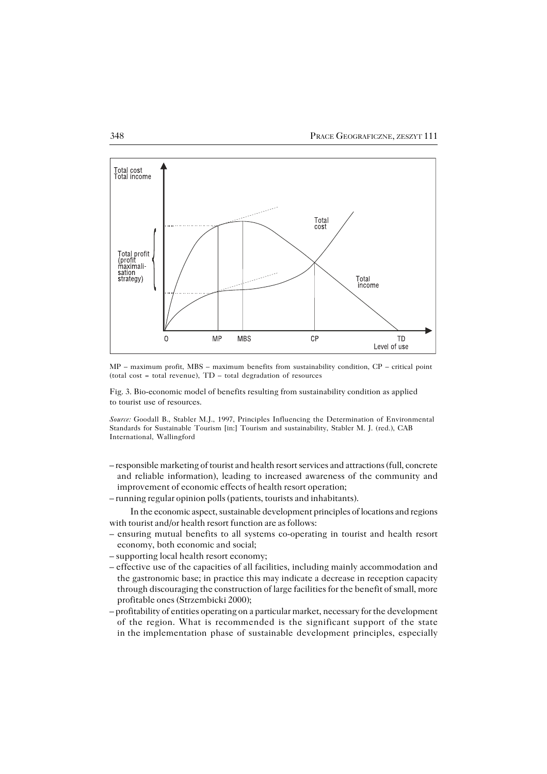

MP – maximum profit, MBS – maximum benefits from sustainability condition, CP – critical point (total cost = total revenue), TD – total degradation of resources

Fig. 3. Bio−economic model of benefits resulting from sustainability condition as applied to tourist use of resources.

*Source:* Goodall B., Stabler M.J., 1997, Principles Influencing the Determination of Environmental Standards for Sustainable Tourism [in:] Tourism and sustainability, Stabler M. J. (red.), CAB International, Wallingford

- responsible marketing of tourist and health resort services and attractions (full, concrete and reliable information), leading to increased awareness of the community and improvement of economic effects of health resort operation;
- running regular opinion polls (patients, tourists and inhabitants).

In the economic aspect, sustainable development principles of locations and regions with tourist and/or health resort function are as follows:

- ensuring mutual benefits to all systems co−operating in tourist and health resort economy, both economic and social;
- supporting local health resort economy;
- effective use of the capacities of all facilities, including mainly accommodation and the gastronomic base; in practice this may indicate a decrease in reception capacity through discouraging the construction of large facilities for the benefit of small, more profitable ones (Strzembicki 2000);
- profitability of entities operating on a particular market, necessary for the development of the region. What is recommended is the significant support of the state in the implementation phase of sustainable development principles, especially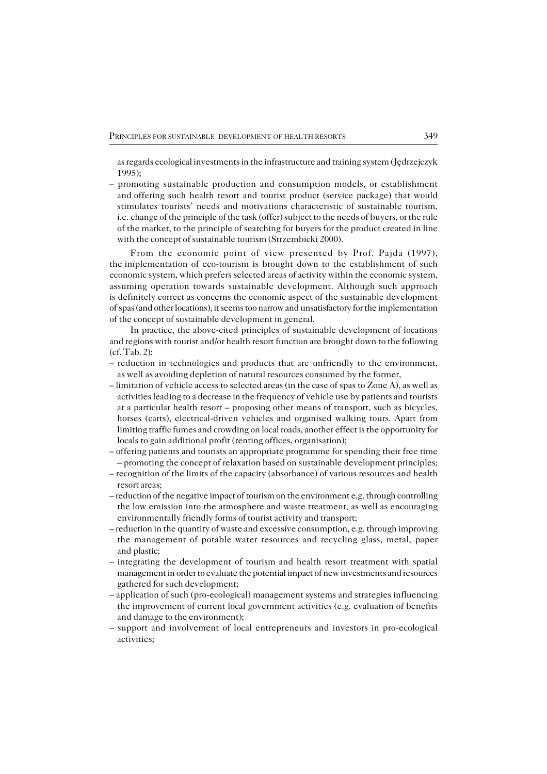as regards ecological investments in the infrastructure and training system (Jędrzejczyk 1995);

– promoting sustainable production and consumption models, or establishment and offering such health resort and tourist product (service package) that would stimulates tourists' needs and motivations characteristic of sustainable tourism, i.e. change of the principle of the task (offer) subject to the needs of buyers, or the rule of the market, to the principle of searching for buyers for the product created in line with the concept of sustainable tourism (Strzembicki 2000).

From the economic point of view presented by Prof. Pajda (1997), the implementation of eco-tourism is brought down to the establishment of such economic system, which prefers selected areas of activity within the economic system, assuming operation towards sustainable development. Although such approach is definitely correct as concerns the economic aspect of the sustainable development of spas (and other locations), it seems too narrow and unsatisfactory for the implementation of the concept of sustainable development in general.

In practice, the above−cited principles of sustainable development of locations and regions with tourist and/or health resort function are brought down to the following (cf. Tab. 2):

- reduction in technologies and products that are unfriendly to the environment, as well as avoiding depletion of natural resources consumed by the former,
- limitation of vehicle access to selected areas (in the case of spas to Zone A), as well as activities leading to a decrease in the frequency of vehicle use by patients and tourists at a particular health resort – proposing other means of transport, such as bicycles, horses (carts), electrical−driven vehicles and organised walking tours. Apart from limiting traffic fumes and crowding on local roads, another effect is the opportunity for locals to gain additional profit (renting offices, organisation);
- offering patients and tourists an appropriate programme for spending their free time – promoting the concept of relaxation based on sustainable development principles;
- recognition of the limits of the capacity (absorbance) of various resources and health resort areas;
- reduction of the negative impact of tourism on the environment e.g. through controlling the low emission into the atmosphere and waste treatment, as well as encouraging environmentally friendly forms of tourist activity and transport;
- reduction in the quantity of waste and excessive consumption, e.g. through improving the management of potable water resources and recycling glass, metal, paper and plastic;
- integrating the development of tourism and health resort treatment with spatial management in order to evaluate the potential impact of new investments and resources gathered for such development;
- application of such (pro−ecological) management systems and strategies influencing the improvement of current local government activities (e.g. evaluation of benefits and damage to the environment);
- support and involvement of local entrepreneurs and investors in pro−ecological activities;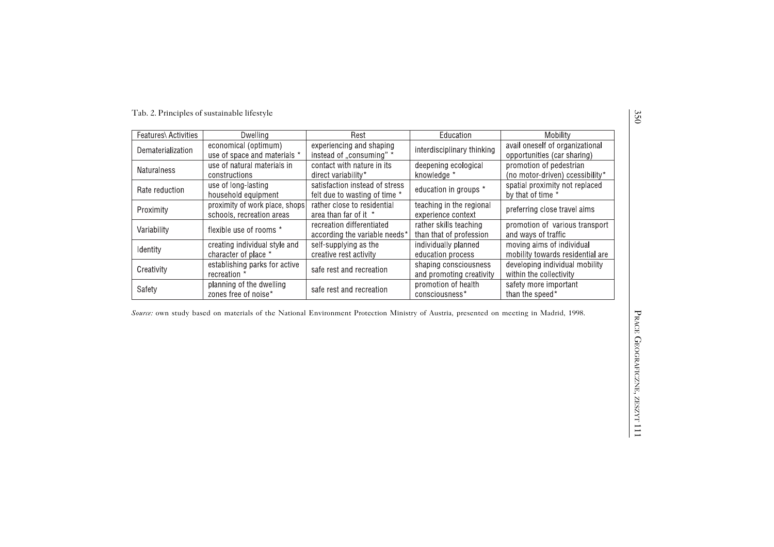| Features\ Activities | Dwelling                                                    | Rest                                                            | Education                                         | Mobility                                                       |
|----------------------|-------------------------------------------------------------|-----------------------------------------------------------------|---------------------------------------------------|----------------------------------------------------------------|
| Dematerialization    | economical (optimum)<br>use of space and materials *        | experiencing and shaping<br>instead of "consuming" *            | interdisciplinary thinking                        | avail oneself of organizational<br>opportunities (car sharing) |
| <b>Naturalness</b>   | use of natural materials in<br>constructions                | contact with nature in its<br>direct variability*               | deepening ecological<br>knowledge *               | promotion of pedestrian<br>(no motor-driven) ccessibility*     |
| Rate reduction       | use of long-lasting<br>household equipment                  | satisfaction instead of stress<br>felt due to wasting of time * | education in groups *                             | spatial proximity not replaced<br>by that of time *            |
| Proximity            | proximity of work place, shops<br>schools, recreation areas | rather close to residential<br>area than far of it *            | teaching in the regional<br>experience context    | preferring close travel aims                                   |
| Variability          | flexible use of rooms *                                     | recreation differentiated<br>according the variable needs*      | rather skills teaching<br>than that of profession | promotion of various transport<br>and ways of traffic          |
| <b>I</b> dentity     | creating individual style and<br>character of place *       | self-supplying as the<br>creative rest activity                 | individually planned<br>education process         | moving aims of individual<br>mobility towards residential are  |
| Creativity           | establishing parks for active<br>recreation *               | safe rest and recreation                                        | shaping consciousness<br>and promoting creativity | developing individual mobility<br>within the collectivity      |
| Safety               | planning of the dwelling<br>zones free of noise*            | safe rest and recreation                                        | promotion of health<br>consciousness*             | safety more important<br>than the speed*                       |

*Source:* own study based on materials of the National Environment Protection Ministry of Austria, presented on meeting in Madrid, 1998.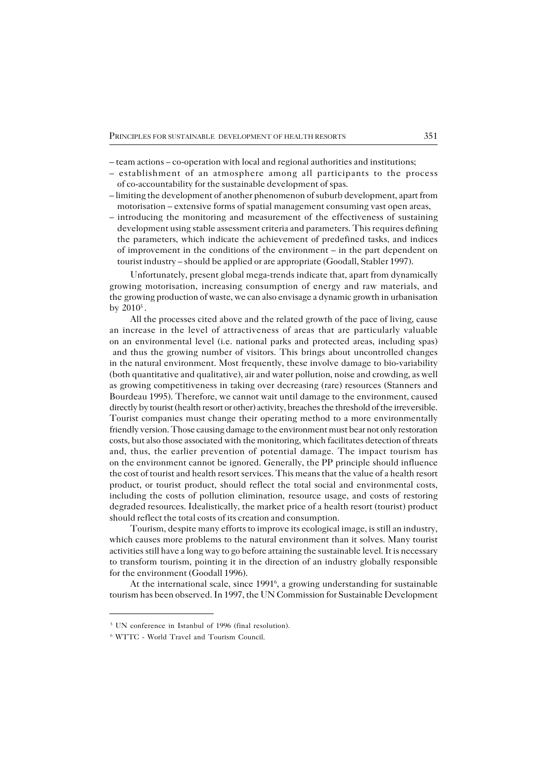- team actions co−operation with local and regional authorities and institutions;
- establishment of an atmosphere among all participants to the process of co−accountability for the sustainable development of spas.
- limiting the development of another phenomenon of suburb development, apart from motorisation – extensive forms of spatial management consuming vast open areas,
- introducing the monitoring and measurement of the effectiveness of sustaining development using stable assessment criteria and parameters. This requires defining the parameters, which indicate the achievement of predefined tasks, and indices of improvement in the conditions of the environment – in the part dependent on tourist industry – should be applied or are appropriate (Goodall, Stabler 1997).

Unfortunately, present global mega−trends indicate that, apart from dynamically growing motorisation, increasing consumption of energy and raw materials, and the growing production of waste, we can also envisage a dynamic growth in urbanisation by  $2010^5$ .

All the processes cited above and the related growth of the pace of living, cause an increase in the level of attractiveness of areas that are particularly valuable on an environmental level (i.e. national parks and protected areas, including spas) and thus the growing number of visitors. This brings about uncontrolled changes in thenatural environment. Most frequently, these involve damage to bio−variability (both quantitative and qualitative), air and water pollution, noise and crowding, as well as growing competitiveness in taking over decreasing (rare) resources (Stanners and Bourdeau 1995). Therefore, we cannot wait until damage to the environment, caused directly by tourist (health resort or other) activity, breaches the threshold of the irreversible. Tourist companies must change their operating method to a more environmentally friendly version. Those causing damage to the environment must bear not only restoration costs, but also those associated with the monitoring, which facilitates detection of threats and, thus, the earlier prevention of potential damage. The impact tourism has on the environment cannot be ignored. Generally, the PP principle should influence the cost of tourist and health resort services. This means that the value of a health resort product, or tourist product, should reflect the total social and environmental costs, including the costs of pollution elimination, resource usage, and costs of restoring degraded resources. Idealistically, the market price of a health resort (tourist) product should reflect the total costs of its creation and consumption.

Tourism, despite many efforts to improve its ecological image, is still an industry, which causes more problems to the natural environment than it solves. Many tourist activities still have a long way to go before attaining the sustainable level. It is necessary to transform tourism, pointing it in the direction of an industry globally responsible for the environment (Goodall 1996).

At the international scale, since 1991<sup>6</sup>, a growing understanding for sustainable tourism has been observed. In 1997, the UN Commission for Sustainable Development

<sup>&</sup>lt;sup>5</sup> UN conference in Istanbul of 1996 (final resolution).

<sup>6</sup> WTTC − World Travel and Tourism Council.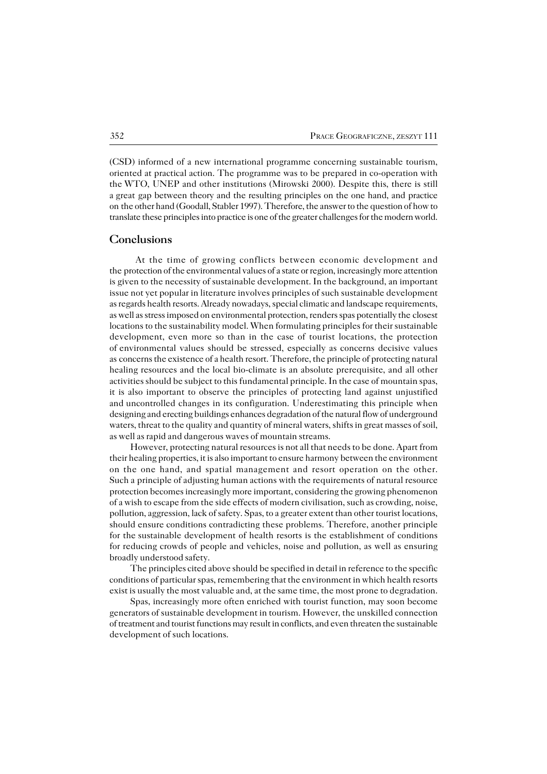(CSD) informed of a new international programme concerning sustainable tourism, oriented at practical action. The programme was to be prepared in co−operation with theWTO, UNEP and other institutions (Mirowski 2000). Despite this, there is still agreat gap between theory and the resulting principles on the one hand, and practice onthe other hand (Goodall, Stabler 1997). Therefore, the answer to the question of how to translate these principles into practice is one of the greater challenges for the modern world.

### **Conclusions**

At the time of growing conflicts between economic development and the protection of the environmental values of a state or region, increasingly more attention is given to the necessity of sustainable development. In the background, an important issue not yet popular in literature involves principles of such sustainable development as regards health resorts. Already nowadays, special climatic and landscape requirements, as well as stress imposed on environmental protection, renders spas potentially the closest locations to the sustainability model. When formulating principles for their sustainable development, even more so than in the case of tourist locations, the protection ofenvironmental values should be stressed, especially as concerns decisive values asconcerns the existence of a health resort. Therefore, the principle of protecting natural healing resources and the local bio−climate is an absolute prerequisite, and all other activities should be subject to this fundamental principle. In the case of mountain spas, it is also important to observe the principles of protecting land against unjustified anduncontrolled changes in its configuration. Underestimating this principle when designing and erecting buildings enhances degradation of the natural flow of underground waters, threat to the quality and quantity of mineral waters, shifts in great masses of soil, as well as rapid and dangerous waves of mountain streams.

However, protecting natural resources is not all that needs to be done. Apart from their healing properties, it is also important to ensure harmony between the environment on the one hand, and spatial management and resort operation on the other. Such a principle of adjusting human actions with the requirements of natural resource protection becomes increasingly more important, considering the growing phenomenon of a wish to escape from the side effects of modern civilisation, such as crowding, noise, pollution, aggression, lack of safety. Spas, to a greater extent than other tourist locations, should ensure conditions contradicting these problems. Therefore, another principle for the sustainable development of health resorts is the establishment of conditions for reducing crowds of people and vehicles, noise and pollution, as well as ensuring broadly understood safety.

The principles cited above should be specified in detail in reference to the specific conditions of particular spas, remembering that the environment in which health resorts exist is usually the most valuable and, at the same time, the most prone to degradation.

Spas, increasingly more often enriched with tourist function, may soon become generators of sustainable development in tourism. However, the unskilled connection of treatment and tourist functions may result in conflicts, and even threaten the sustainable development of such locations.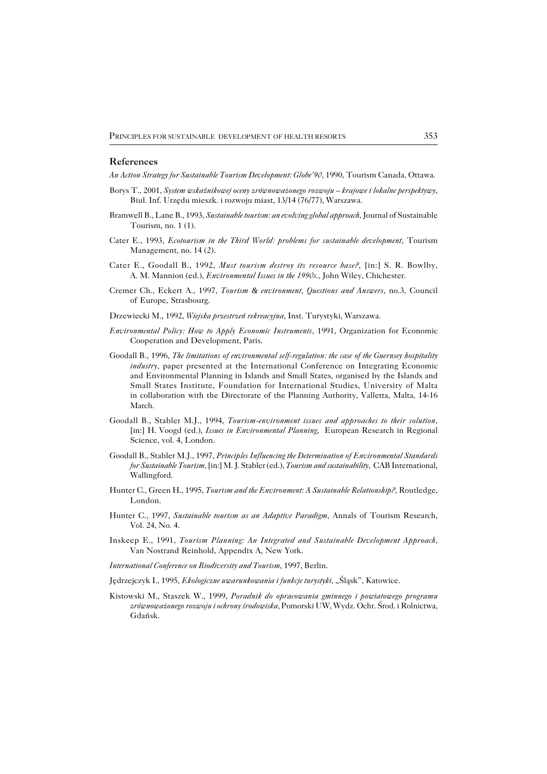#### **References**

*An Action Strategy for Sustainable Tourism Development: Globe'90*, 1990, Tourism Canada, Ottawa.

- Borys T., 2001, *System wskaźnikowej oceny zrównoważonego rozwoju krajowe i lokalne perspektywy*, Biul. Inf. Urzędu mieszk. i rozwoju miast, 13/14 (76/77), Warszawa.
- Bramwell B., Lane B., 1993, *Sustainable tourism: an evolving global approach*, Journal of Sustainable Tourism, no. 1 (1).
- Cater E., 1993, *Ecotourism in the Third World: problems for sustainable development*, Tourism Management, no. 14 (2).
- Cater E., Goodall B., 1992, *Must tourism destroy its resource base?,* [in:] S. R. Bowlby, A. M. Mannion (ed.), *Environmental Issues in the 1990s.*, John Wiley, Chichester.
- Cremer Ch., Eckert A., 1997, *Tourism & environment, Questions and Answers*, no.3, Council of Europe, Strasbourg.
- Drzewiecki M., 1992, *Wiejska przestrzeń rekreacyjna*, Inst. Turystyki, Warszawa.
- *Environmental Policy: How to Apply Economic Instruments*, 1991, Organization for Economic Cooperation and Development, Paris.
- Goodall B., 1996, *The limitations of environmental self−regulation: the case of the Guernsey hospitality industry*, paper presented at the International Conference on Integrating Economic and Environmental Planning in Islands and Small States, organised by the Islands and Small States Institute, Foundation for International Studies, University of Malta in collaboration with the Directorate of the Planning Authority, Valletta, Malta, 14−16 March.
- Goodall B., Stabler M.J., 1994, *Tourism−environment issues and approaches to their solution,* [in:] H. Voogd (ed.), *Issues in Environmental Planning*, European Research in Regional Science, vol. 4, London.
- Goodall B., Stabler M.J., 1997, *Principles Influencing the Determination of Environmental Standards for Sustainable Tourism,* [in:] M. J. Stabler (ed.), *Tourism and sustainability*, CAB International, Wallingford.
- Hunter C., Green H., 1995, *Tourism and the Environment: A Sustainable Relationship?,* Routledge, London.
- Hunter C., 1997, *Sustainable tourism as an Adaptive Paradigm*, Annals of Tourism Research, Vol. 24, No. 4.
- Inskeep E., 1991, *Tourism Planning: An Integrated and Sustainable Development Approach*, Van Nostrand Reinhold, Appendix A, New York.
- *International Conference on Biodiversity and Tourism*, 1997, Berlin.
- Jędrzejczyk I., 1995, *Ekologiczne wwarunkowania i funkcje turystyki*, "Śląsk", Katowice.
- Kistowski M., Staszek W., 1999, *Poradnik do opracowania gminnego i powiatowego programu zrównoważonego rozwoju i ochrony środowiska*, Pomorski UW, Wydz. Ochr. Środ. i Rolnictwa, Gdańsk.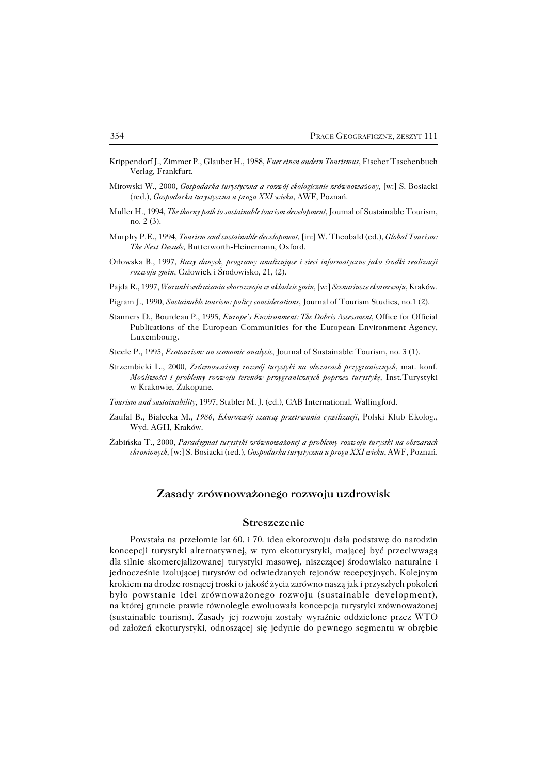- Krippendorf J., Zimmer P., Glauber H., 1988, *Fuer einen audern Tourismus*, Fischer Taschenbuch Verlag, Frankfurt.
- Mirowski W., 2000, *Gospodarka turystyczna a rozwój ekologicznie zrównoważony,* [w:] S. Bosiacki (red.), *Gospodarka turystyczna u progu XXI wieku*, AWF, Poznań.
- Muller H., 1994, *The thorny path to sustainable tourism development*, Journal of Sustainable Tourism, no. 2 (3).
- Murphy P.E., 1994, *Tourism and sustainable development,* [in:] W. Theobald (ed.), *Global Tourism: The Next Decade*, Butterworth−Heinemann, Oxford.
- Orłowska B., 1997, *Bazy danych, programy analizujące i sieci informatyczne jako środki realizacji rozwoju gmin*, Człowiek i Środowisko, 21, (2).
- Pajda R., 1997, *Warunki wdrażania ekorozwoju w układzie gmin,* [w:] *Scenariusze ekorozwoju*, Kraków.
- Pigram J., 1990, *Sustainable tourism: policy considerations*, Journal of Tourism Studies, no.1 (2).
- Stanners D., Bourdeau P., 1995, *Europe's Environment: The Dobris Assessment*, Office for Official Publications of the European Communities for the European Environment Agency, Luxembourg.
- Steele P., 1995, *Ecotourism: an economic analysis*, Journal of Sustainable Tourism, no. 3 (1).
- Strzembicki L., 2000, *Zrównoważony rozwój turystyki na obszarach przygranicznych*, mat. konf. *Możliwości i problemy rozwoju terenów przygranicznych poprzez turystykę,* Inst.Turystyki w Krakowie, Zakopane.
- *Tourism and sustainability*, 1997, Stabler M. J. (ed.), CAB International, Wallingford.
- Zaufal B., Białecka M., *1986, Ekorozwój szansą przetrwania cywilizacji*, Polski Klub Ekolog., Wyd. AGH, Kraków.
- Żabińska T., 2000, *Paradygmat turystyki zrównoważonej a problemy rozwoju turystki na obszarach chronionych,* [w:] S. Bosiacki (red.), *Gospodarka turystyczna u progu XXI wieku*, AWF, Poznań.

## **Zasady zrównoważonego rozwoju uzdrowisk**

## **Streszczenie**

Powstała na przełomie lat 60. i 70. idea ekorozwoju dała podstawę donarodzin koncepcji turystyki alternatywnej, w tym ekoturystyki, mającej być przeciwwagą dlasilnie skomercjalizowanej turystyki masowej, niszczącej środowisko naturalne i jednocześnie izolującej turystów od odwiedzanych rejonów recepcyjnych. Kolejnym krokiem na drodze rosnącej troski o jakość życia zarówno naszą jak i przyszłych pokoleń było powstanie idei zrównoważonego rozwoju (sustainable development), na której gruncie prawie równolegle ewoluowała koncepcja turystyki zrównoważonej (sustainable tourism). Zasady jej rozwoju zostały wyraźnie oddzielone przez WTO od założeń ekoturystyki, odnoszącej się jedynie do pewnego segmentu w obrębie